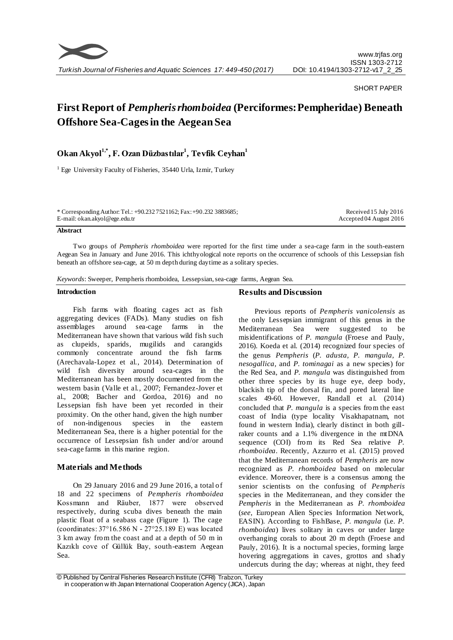

## SHORT PAPER

# **First Report of** *Pempheris rhomboidea* **(Perciformes: Pempheridae) Beneath Offshore Sea-Cages in the Aegean Sea**

**Okan Akyol1,\* , F. Ozan Düzbastılar<sup>1</sup> , Tevfik Ceyhan<sup>1</sup>**

<sup>1</sup> Ege University Faculty of Fisheries, 35440 Urla, Izmir, Turkey

\* Corresponding Author: Tel.: +90.232 7521162; Fax: +90.232 3883685; E-mail: okan.akyol@ege.edu.tr

Received 15 July 2016 Accepted 04 August 2016

#### **Abstract**

Two groups of *Pempheris rhomboidea* were reported for the first time under a sea-cage farm in the south-eastern Aegean Sea in January and June 2016. This ichthyological note reports on the occurrence of schools of this Lessepsian fish beneath an offshore sea-cage, at 50 m depth during daytime as a solitary species.

*Keywords*: Sweeper, Pempheris rhomboidea, Lessepsian, sea-cage farms, Aegean Sea.

#### **Introduction**

Fish farms with floating cages act as fish aggregating devices (FADs). Many studies on fish assemblages around sea-cage farms in the Mediterranean have shown that various wild fish such as clupeids, sparids, mugilids and carangids commonly concentrate around the fish farms (Arechavala-Lopez et al., 2014). Determination of wild fish diversity around sea-cages in the Mediterranean has been mostly documented from the western basin (Valle et al., 2007; Fernandez-Jover et al., 2008; Bacher and Gordoa, 2016) and no Lessepsian fish have been yet recorded in their proximity. On the other hand, given the high number of non-indigenous species in the eastern Mediterranean Sea, there is a higher potential for the occurrence of Lessepsian fish under and/or around sea-cage farms in this marine region.

## **Materials and Methods**

On 29 January 2016 and 29 June 2016, a total of 18 and 22 specimens of *Pempheris rhomboidea* Kossmann and Räuber, 1877 were observed respectively, during scuba dives beneath the main plastic float of a seabass cage (Figure 1). The cage (coordinates: 37°16.586 N - 27°25.189 E) was located 3 km away from the coast and at a depth of 50 m in Kazıklı cove of Güllük Bay, south-eastern Aegean Sea.

## **Results and Discussion**

Previous reports of *Pempheris vanicolensis* as the only Lessepsian immigrant of this genus in the Mediterranean Sea were suggested to be misidentifications of *P. mangula* (Froese and Pauly, 2016). Koeda et al. (2014) recognized four species of the genus *Pempheris* (*P. adusta, P. mangula, P. nesogallica,* and *P. tominagai* as a new species) for the Red Sea, and *P. mangula* was distinguished from other three species by its huge eye, deep body, blackish tip of the dorsal fin, and pored lateral line scales 49-60. However, Randall et al. (2014) concluded that *P. mangula* is a species from the east coast of India (type locality Visakhapatnam, not found in western India), clearly distinct in both gillraker counts and a 1.1% divergence in the mtDNA sequence (COI) from its Red Sea relative *P. rhomboidea*. Recently, Azzurro et al. (2015) proved that the Mediterranean records of *Pempheris* are now recognized as *P. rhomboidea* based on molecular evidence. Moreover, there is a consensus among the senior scientists on the confusing of *Pempheris* species in the Mediterranean, and they consider the *Pempheris* in the Mediterranean as *P. rhomboidea* (*see*, European Alien Species Information Network, EASIN). According to FishBase, *P. mangula* (i.e. *P. rhomboidea*) lives solitary in caves or under large overhanging corals to about 20 m depth (Froese and Pauly, 2016). It is a nocturnal species, forming large hovering aggregations in caves, grottos and shady undercuts during the day; whereas at night, they feed

<sup>©</sup> Published by Central Fisheries Research Institute (CFRI) Trabzon, Turkey in cooperation w ith Japan International Cooperation Agency (JICA), Japan